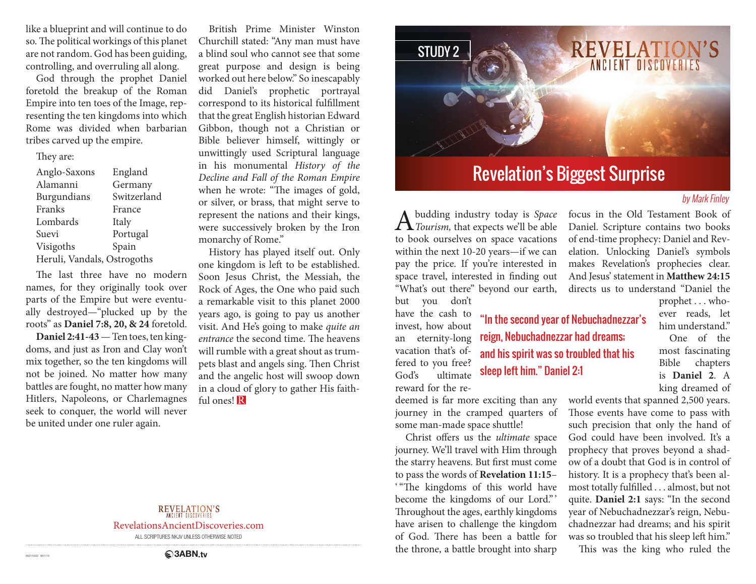like a blueprint and will continue to do so. The political workings of this planet are not random. God has been guiding, controlling, and overruling all along.

God through the prophet Daniel foretold the breakup of the Roman Empire into ten toes of the Image, representing the ten kingdoms into which Rome was divided when barbarian tribes carved up the empire.

#### They are:

| Anglo-Saxons                | England     |
|-----------------------------|-------------|
| Alamanni                    | Germany     |
| Burgundians                 | Switzerland |
| Franks                      | France      |
| Lombards                    | Italy       |
| Suevi                       | Portugal    |
| Visigoths                   | Spain       |
| Heruli, Vandals, Ostrogoths |             |

The last three have no modern names, for they originally took over parts of the Empire but were eventually destroyed—"plucked up by the roots" as **Daniel 7:8, 20, & 24** foretold.

**Daniel 2:41-43** — Ten toes, ten kingdoms, and just as Iron and Clay won't mix together, so the ten kingdoms will not be joined. No matter how many battles are fought, no matter how many Hitlers, Napoleons, or Charlemagnes seek to conquer, the world will never be united under one ruler again.

British Prime Minister Winston Churchill stated: "Any man must have a blind soul who cannot see that some great purpose and design is being worked out here below." So inescapably did Daniel's prophetic portrayal correspond to its historical fulfillment that the great English historian Edward Gibbon, though not a Christian or Bible believer himself, wittingly or unwittingly used Scriptural language in his monumental *History of the Decline and Fall of the Roman Empire*  when he wrote: "The images of gold, or silver, or brass, that might serve to represent the nations and their kings, were successively broken by the Iron monarchy of Rome."

History has played itself out. Only one kingdom is left to be established. Soon Jesus Christ, the Messiah, the Rock of Ages, the One who paid such a remarkable visit to this planet 2000 years ago, is going to pay us another visit. And He's going to make *quite an entrance* the second time. The heavens will rumble with a great shout as trumpets blast and angels sing. Then Christ and the angelic host will swoop down in a cloud of glory to gather His faithful ones! R



# Revelation's Biggest Surprise

### by Mark Finley

A budding industry today is *Space Tourism,* that expects we'll be able to book ourselves on space vacations within the next 10-20 years—if we can pay the price. If you're interested in space travel, interested in finding out "What's out there" beyond our earth, but you don't

have the cash to invest, how about an eternity-long vacation that's offered to you free? God's ultimate reward for the re-

deemed is far more exciting than any journey in the cramped quarters of some man-made space shuttle!

Christ offers us the *ultimate* space journey. We'll travel with Him through the starry heavens. But first must come to pass the words of **Revelation 11:15**– ' "The kingdoms of this world have become the kingdoms of our Lord." ' Throughout the ages, earthly kingdoms have arisen to challenge the kingdom of God. There has been a battle for the throne, a battle brought into sharp

focus in the Old Testament Book of Daniel. Scripture contains two books of end-time prophecy: Daniel and Revelation. Unlocking Daniel's symbols makes Revelation's prophecies clear. And Jesus' statement in **Matthew 24:15** directs us to understand "Daniel the

"In the second year of Nebuchadnezzar's reign, Nebuchadnezzar had dreams; and his spirit was so troubled that his sleep left him." Daniel 2:1

prophet . . . whoever reads, let him understand"

One of the most fascinating Bible chapters is **Daniel 2**. A king dreamed of

world events that spanned 2,500 years. Those events have come to pass with such precision that only the hand of God could have been involved. It's a prophecy that proves beyond a shadow of a doubt that God is in control of history. It is a prophecy that's been almost totally fulfilled . . . almost, but not quite. **Daniel 2:1** says: "In the second year of Nebuchadnezzar's reign, Nebuchadnezzar had dreams; and his spirit was so troubled that his sleep left him."

This was the king who ruled the

### **REVELATION'S**

RevelationsAncientDiscoveries.com

ALL SCRIPTURES NKJV UNLESS OTHERWISE NOTED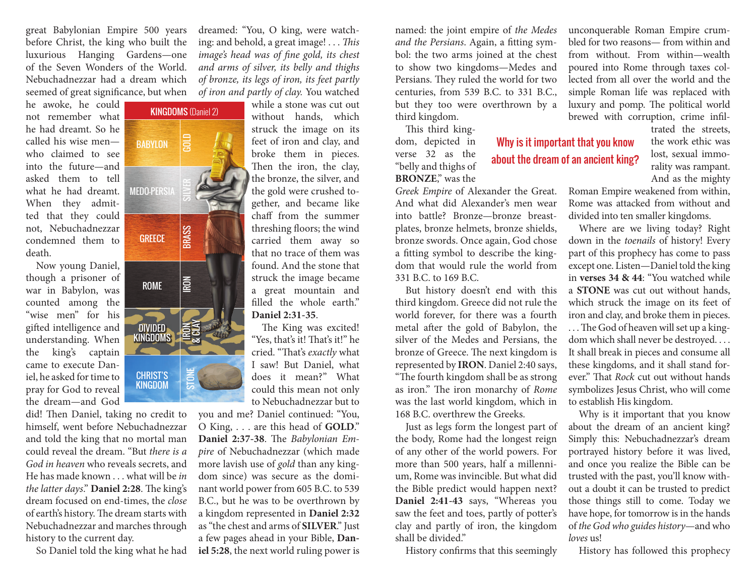great Babylonian Empire 500 years before Christ, the king who built the luxurious Hanging Gardens—one of the Seven Wonders of the World. Nebuchadnezzar had a dream which seemed of great significance, but when

KINGDOMS (Daniel 2)

GOLD

SILVER

**BRASS** 

IRON

IRON & CLAY

STONE

BABYLON

**MEDO-PERSIA** 

**GREECE** 

ROME

DIVIDED KINGDOMS

CHRIST'S KINGDOM

he awoke, he could not remember what he had dreamt. So he called his wise men who claimed to see into the future—and asked them to tell what he had dreamt. When they admitted that they could not, Nebuchadnezzar condemned them to death.

Now young Daniel, though a prisoner of war in Babylon, was counted among the "wise men" for his gifted intelligence and understanding. When the king's captain came to execute Daniel, he asked for time to pray for God to reveal the dream—and God

did! Then Daniel, taking no credit to himself, went before Nebuchadnezzar and told the king that no mortal man could reveal the dream. "But *there is a God in heaven* who reveals secrets, and He has made known . . . what will be *in the latter days*." **Daniel 2:28**. The king's dream focused on end-times, the *close*  of earth's history. The dream starts with Nebuchadnezzar and marches through history to the current day.

So Daniel told the king what he had



without hands, which struck the image on its feet of iron and clay, and broke them in pieces. Then the iron, the clay, the bronze, the silver, and the gold were crushed together, and became like chaff from the summer threshing floors; the wind carried them away so that no trace of them was found. And the stone that struck the image became a great mountain and filled the whole earth." **Daniel 2:31-35**. The state of iron and clay, and a form, depicted in Why is it important that you know<br>Then the iron, the clay, "belly and thighs of about the dream of an ancient king'<br>Then the iron, the clay, "belly and thighs of a part o

The King was excited! "Yes, that's it! That's it!" he cried. "That's *exactly* what I saw! But Daniel, what does it mean?" What could this mean not only to Nebuchadnezzar but to

you and me? Daniel continued: "You, O King, . . . are this head of **GOLD**." **Daniel 2:37-38**. The *Babylonian Empire* of Nebuchadnezzar (which made more lavish use of *gold* than any kingdom since) was secure as the dominant world power from 605 B.C. to 539 B.C., but he was to be overthrown by a kingdom represented in **Daniel 2:32** as "the chest and arms of **SILVER**." Just a few pages ahead in your Bible, **Daniel 5:28**, the next world ruling power is

named: the joint empire of *the Medes and the Persians*. Again, a fitting symbol: the two arms joined at the chest to show two kingdoms—Medes and Persians. They ruled the world for two centuries, from 539 B.C. to 331 B.C., but they too were overthrown by a third kingdom.

This third kingdom, depicted in verse 32 as the "belly and thighs of **BRONZE**," was the

*Greek Empire* of Alexander the Great. And what did Alexander's men wear into battle? Bronze—bronze breastplates, bronze helmets, bronze shields, bronze swords. Once again, God chose a fitting symbol to describe the kingdom that would rule the world from 331 B.C. to 169 B.C.

But history doesn't end with this third kingdom. Greece did not rule the world forever, for there was a fourth metal after the gold of Babylon, the silver of the Medes and Persians, the bronze of Greece. The next kingdom is represented by **IRON**. Daniel 2:40 says, "The fourth kingdom shall be as strong as iron." The iron monarchy of *Rome*  was the last world kingdom, which in 168 B.C. overthrew the Greeks.

Just as legs form the longest part of the body, Rome had the longest reign of any other of the world powers. For more than 500 years, half a millennium, Rome was invincible. But what did the Bible predict would happen next? **Daniel 2:41-43** says, "Whereas you saw the feet and toes, partly of potter's clay and partly of iron, the kingdom shall be divided"

History confirms that this seemingly

unconquerable Roman Empire crumbled for two reasons— from within and from without. From within—wealth poured into Rome through taxes collected from all over the world and the simple Roman life was replaced with luxury and pomp. The political world brewed with corruption, crime infil-

about the dream of an ancient king?

trated the streets, the work ethic was lost, sexual immorality was rampant. And as the mighty

Roman Empire weakened from within, Rome was attacked from without and divided into ten smaller kingdoms.

Where are we living today? Right down in the *toenails* of history! Every part of this prophecy has come to pass except one. Listen—Daniel told the king in **verses 34 & 44**: "You watched while a **STONE** was cut out without hands, which struck the image on its feet of iron and clay, and broke them in pieces.

... The God of heaven will set up a kingdom which shall never be destroyed. . . . It shall break in pieces and consume all these kingdoms, and it shall stand forever." That *Rock* cut out without hands symbolizes Jesus Christ, who will come to establish His kingdom.

Why is it important that you know about the dream of an ancient king? Simply this: Nebuchadnezzar's dream portrayed history before it was lived, and once you realize the Bible can be trusted with the past, you'll know without a doubt it can be trusted to predict those things still to come. Today we have hope, for tomorrow is in the hands of *the God who guides history*—and who *loves* us!

History has followed this prophecy